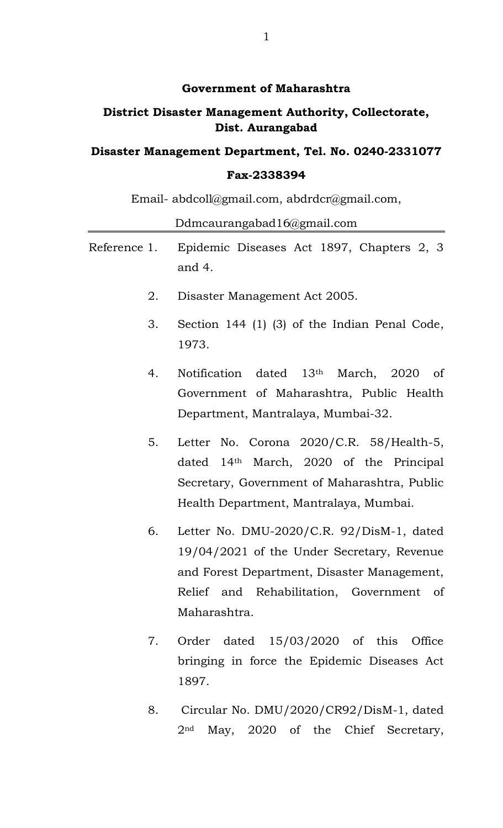#### **Government of Maharashtra**

# **District Disaster Management Authority, Collectorate, Dist. Aurangabad**

# **Disaster Management Department, Tel. No. 0240-2331077**

# **Fax-2338394**

Email- abdcoll@gmail.com, abdrdcr@gmail.com,

Ddmcaurangabad16@gmail.com

- Reference 1. Epidemic Diseases Act 1897, Chapters 2, 3 and 4.
	- 2. Disaster Management Act 2005.
	- 3. Section 144 (1) (3) of the Indian Penal Code, 1973.
	- 4. Notification dated 13th March, 2020 of Government of Maharashtra, Public Health Department, Mantralaya, Mumbai-32.
	- 5. Letter No. Corona 2020/C.R. 58/Health-5, dated 14th March, 2020 of the Principal Secretary, Government of Maharashtra, Public Health Department, Mantralaya, Mumbai.
	- 6. Letter No. DMU-2020/C.R. 92/DisM-1, dated 19/04/2021 of the Under Secretary, Revenue and Forest Department, Disaster Management, Relief and Rehabilitation, Government of Maharashtra.
	- 7. Order dated 15/03/2020 of this Office bringing in force the Epidemic Diseases Act 1897.
	- 8. Circular No. DMU/2020/CR92/DisM-1, dated 2nd May, 2020 of the Chief Secretary,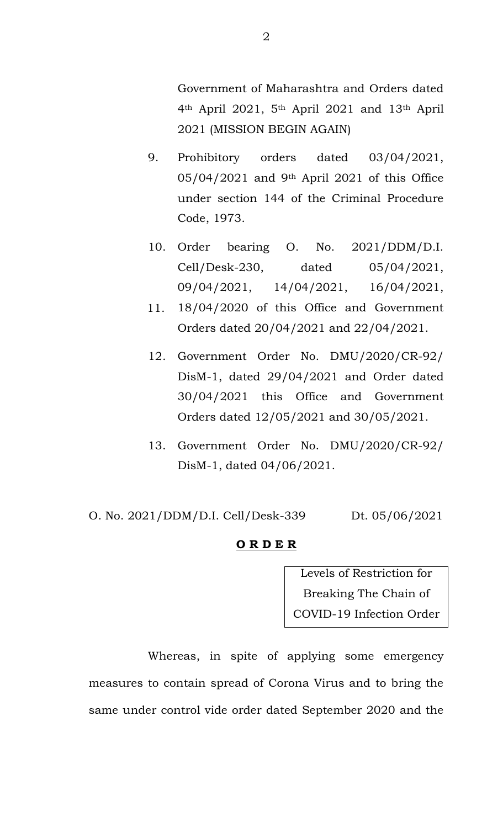Government of Maharashtra and Orders dated 4th April 2021, 5th April 2021 and 13th April 2021 (MISSION BEGIN AGAIN)

- 9. Prohibitory orders dated 03/04/2021, 05/04/2021 and 9th April 2021 of this Office under section 144 of the Criminal Procedure Code, 1973.
- 10. Order bearing O. No. 2021/DDM/D.I. Cell/Desk-230, dated 05/04/2021, 09/04/2021, 14/04/2021, 16/04/2021,
- 18/04/2020 of this Office and Government Orders dated 20/04/2021 and 22/04/2021. 11.
- 12. Government Order No. DMU/2020/CR-92/ DisM-1, dated 29/04/2021 and Order dated 30/04/2021 this Office and Government Orders dated 12/05/2021 and 30/05/2021.
- 13. Government Order No. DMU/2020/CR-92/ DisM-1, dated 04/06/2021.

O. No. 2021/DDM/D.I. Cell/Desk-339 Dt. 05/06/2021

#### **O R D E R**

Levels of Restriction for Breaking The Chain of COVID-19 Infection Order

Whereas, in spite of applying some emergency measures to contain spread of Corona Virus and to bring the same under control vide order dated September 2020 and the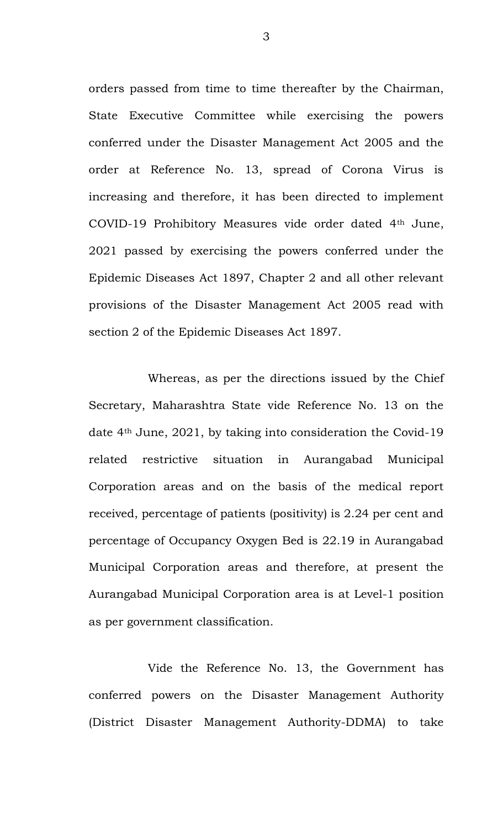orders passed from time to time thereafter by the Chairman, State Executive Committee while exercising the powers conferred under the Disaster Management Act 2005 and the order at Reference No. 13, spread of Corona Virus is increasing and therefore, it has been directed to implement COVID-19 Prohibitory Measures vide order dated 4th June, 2021 passed by exercising the powers conferred under the Epidemic Diseases Act 1897, Chapter 2 and all other relevant provisions of the Disaster Management Act 2005 read with section 2 of the Epidemic Diseases Act 1897.

Whereas, as per the directions issued by the Chief Secretary, Maharashtra State vide Reference No. 13 on the date 4th June, 2021, by taking into consideration the Covid-19 related restrictive situation in Aurangabad Municipal Corporation areas and on the basis of the medical report received, percentage of patients (positivity) is 2.24 per cent and percentage of Occupancy Oxygen Bed is 22.19 in Aurangabad Municipal Corporation areas and therefore, at present the Aurangabad Municipal Corporation area is at Level-1 position as per government classification.

Vide the Reference No. 13, the Government has conferred powers on the Disaster Management Authority (District Disaster Management Authority-DDMA) to take

3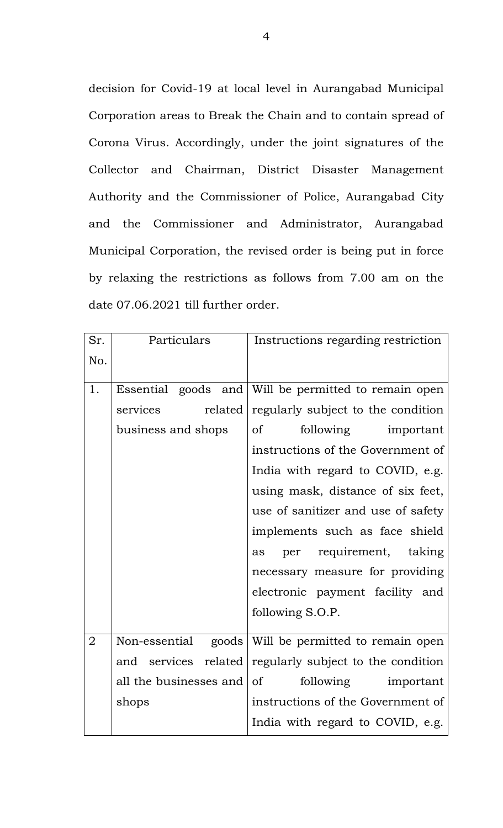decision for Covid-19 at local level in Aurangabad Municipal Corporation areas to Break the Chain and to contain spread of Corona Virus. Accordingly, under the joint signatures of the Collector and Chairman, District Disaster Management Authority and the Commissioner of Police, Aurangabad City and the Commissioner and Administrator, Aurangabad Municipal Corporation, the revised order is being put in force by relaxing the restrictions as follows from 7.00 am on the date 07.06.2021 till further order.

| Sr.            | Particulars            | Instructions regarding restriction                   |  |
|----------------|------------------------|------------------------------------------------------|--|
| No.            |                        |                                                      |  |
| 1.             |                        | Essential goods and Will be permitted to remain open |  |
|                | related<br>services    | regularly subject to the condition                   |  |
|                | business and shops     | following important<br>0f                            |  |
|                |                        | instructions of the Government of                    |  |
|                |                        | India with regard to COVID, e.g.                     |  |
|                |                        | using mask, distance of six feet,                    |  |
|                |                        | use of sanitizer and use of safety                   |  |
|                |                        | implements such as face shield                       |  |
|                |                        | per requirement, taking<br>as                        |  |
|                |                        | necessary measure for providing                      |  |
|                |                        | electronic payment facility and                      |  |
|                |                        | following S.O.P.                                     |  |
| $\overline{2}$ | Non-essential          | goods Will be permitted to remain open               |  |
|                | and services related   | regularly subject to the condition                   |  |
|                | all the businesses and | of<br>following<br>important                         |  |
|                | shops                  | instructions of the Government of                    |  |
|                |                        | India with regard to COVID, e.g.                     |  |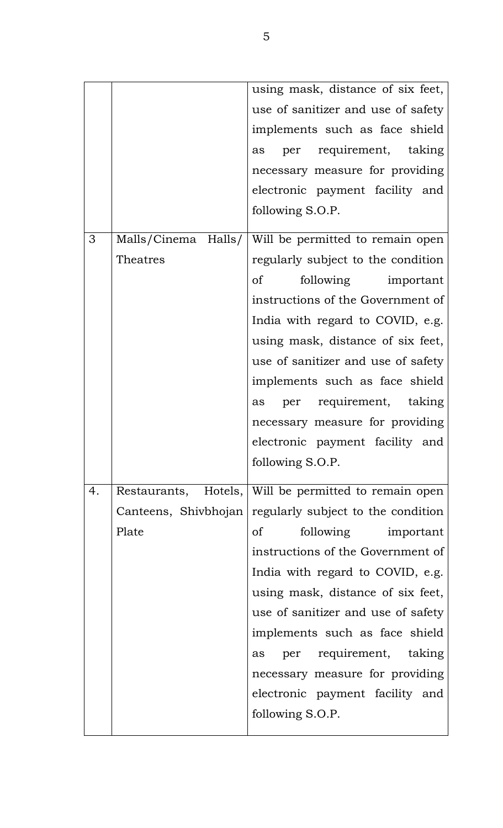|    |          | using mask, distance of six feet,                       |  |
|----|----------|---------------------------------------------------------|--|
|    |          | use of sanitizer and use of safety                      |  |
|    |          | implements such as face shield                          |  |
|    |          | per requirement, taking<br>as                           |  |
|    |          | necessary measure for providing                         |  |
|    |          | electronic payment facility and                         |  |
|    |          | following S.O.P.                                        |  |
| 3  |          | Malls/Cinema Halls/   Will be permitted to remain open  |  |
|    | Theatres | regularly subject to the condition                      |  |
|    |          | following important<br>of                               |  |
|    |          | instructions of the Government of                       |  |
|    |          | India with regard to COVID, e.g.                        |  |
|    |          | using mask, distance of six feet,                       |  |
|    |          | use of sanitizer and use of safety                      |  |
|    |          | implements such as face shield                          |  |
|    |          | per requirement, taking<br>as                           |  |
|    |          | necessary measure for providing                         |  |
|    |          | electronic payment facility and                         |  |
|    |          | following S.O.P.                                        |  |
| 4. |          | Restaurants, Hotels, Will be permitted to remain open   |  |
|    |          | Canteens, Shivbhojan regularly subject to the condition |  |
|    | Plate    | of<br>following important                               |  |
|    |          | instructions of the Government of                       |  |
|    |          | India with regard to COVID, e.g.                        |  |
|    |          | using mask, distance of six feet,                       |  |
|    |          | use of sanitizer and use of safety                      |  |
|    |          | implements such as face shield                          |  |
|    |          | per requirement, taking<br>as                           |  |
|    |          | necessary measure for providing                         |  |
|    |          | electronic payment facility and                         |  |
|    |          | following S.O.P.                                        |  |
|    |          |                                                         |  |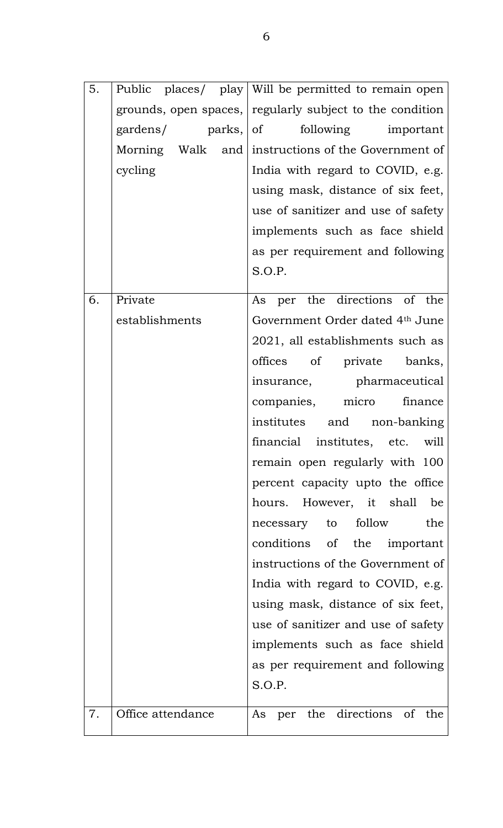| 5. |                    | Public places/ play   Will be permitted to remain open   |
|----|--------------------|----------------------------------------------------------|
|    |                    | grounds, open spaces, regularly subject to the condition |
|    | gardens/ parks, of | following important                                      |
|    |                    | Morning Walk and instructions of the Government of       |
|    | cycling            | India with regard to COVID, e.g.                         |
|    |                    | using mask, distance of six feet,                        |
|    |                    | use of sanitizer and use of safety                       |
|    |                    | implements such as face shield                           |
|    |                    | as per requirement and following                         |
|    |                    | S.O.P.                                                   |
| 6. | Private            | As per the directions of the                             |
|    | establishments     | Government Order dated 4th June                          |
|    |                    | 2021, all establishments such as                         |
|    |                    | offices of private banks,                                |
|    |                    | insurance, pharmaceutical                                |
|    |                    | companies, micro finance                                 |
|    |                    | institutes and non-banking                               |
|    |                    | financial institutes, etc. will                          |
|    |                    | remain open regularly with 100                           |
|    |                    | percent capacity upto the office                         |
|    |                    | hours. However, it shall<br>be                           |
|    |                    | necessary to follow<br>the                               |
|    |                    | conditions of the important                              |
|    |                    | instructions of the Government of                        |
|    |                    | India with regard to COVID, e.g.                         |
|    |                    | using mask, distance of six feet,                        |
|    |                    | use of sanitizer and use of safety                       |
|    |                    | implements such as face shield                           |
|    |                    | as per requirement and following                         |
|    |                    | S.O.P.                                                   |
| 7. | Office attendance  | As per the directions of the                             |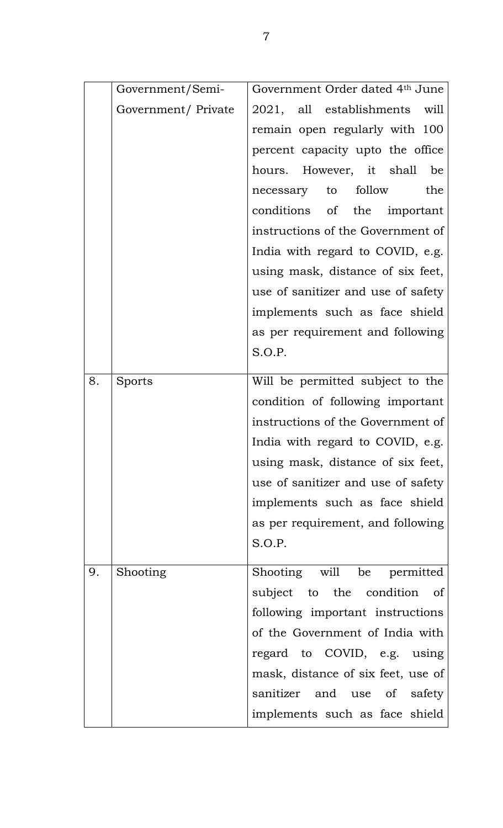|    | Government/Semi-    | Government Order dated 4th June    |  |
|----|---------------------|------------------------------------|--|
|    | Government/ Private | 2021, all establishments will      |  |
|    |                     | remain open regularly with 100     |  |
|    |                     | percent capacity upto the office   |  |
|    |                     | hours. However, it shall be        |  |
|    |                     | necessary to follow<br>the         |  |
|    |                     | conditions of the important        |  |
|    |                     | instructions of the Government of  |  |
|    |                     | India with regard to COVID, e.g.   |  |
|    |                     | using mask, distance of six feet,  |  |
|    |                     | use of sanitizer and use of safety |  |
|    |                     | implements such as face shield     |  |
|    |                     | as per requirement and following   |  |
|    |                     | S.O.P.                             |  |
| 8. | Sports              | Will be permitted subject to the   |  |
|    |                     |                                    |  |
|    |                     | condition of following important   |  |
|    |                     | instructions of the Government of  |  |
|    |                     | India with regard to COVID, e.g.   |  |
|    |                     | using mask, distance of six feet,  |  |
|    |                     | use of sanitizer and use of safety |  |
|    |                     | implements such as face shield     |  |
|    |                     | as per requirement, and following  |  |
|    |                     | S.O.P.                             |  |
| 9. | Shooting            | Shooting will be permitted         |  |
|    |                     | subject to the condition of        |  |
|    |                     | following important instructions   |  |
|    |                     | of the Government of India with    |  |
|    |                     | regard to COVID, e.g. using        |  |
|    |                     | mask, distance of six feet, use of |  |
|    |                     | sanitizer and use of safety        |  |
|    |                     | implements such as face shield     |  |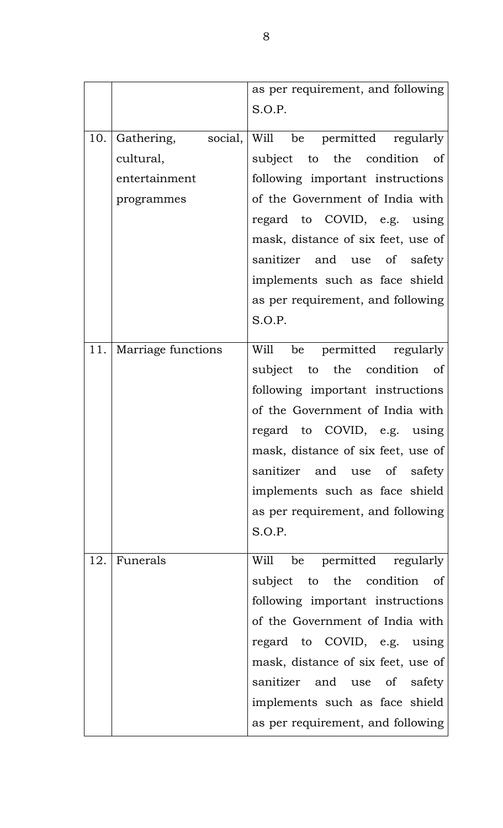|     |                    | as per requirement, and following<br>S.O.P.    |
|-----|--------------------|------------------------------------------------|
|     |                    |                                                |
| 10. |                    | Gathering, social, Will be permitted regularly |
|     | cultural,          | subject to the condition of                    |
|     | entertainment      | following important instructions               |
|     | programmes         | of the Government of India with                |
|     |                    | regard to COVID, e.g. using                    |
|     |                    | mask, distance of six feet, use of             |
|     |                    | sanitizer and use of safety                    |
|     |                    | implements such as face shield                 |
|     |                    | as per requirement, and following              |
|     |                    | S.O.P.                                         |
| 11. | Marriage functions | Will be permitted regularly                    |
|     |                    | subject to the condition of                    |
|     |                    | following important instructions               |
|     |                    | of the Government of India with                |
|     |                    | regard to COVID, e.g. using                    |
|     |                    | mask, distance of six feet, use of             |
|     |                    | sanitizer and use of safety                    |
|     |                    | implements such as face shield                 |
|     |                    | as per requirement, and following              |
|     |                    | S.O.P.                                         |
|     |                    |                                                |
| 12. | Funerals           | be permitted regularly<br>Will                 |
|     |                    | subject to the condition of                    |
|     |                    | following important instructions               |
|     |                    | of the Government of India with                |
|     |                    | regard to COVID, e.g. using                    |
|     |                    | mask, distance of six feet, use of             |
|     |                    | sanitizer and use of safety                    |
|     |                    | implements such as face shield                 |
|     |                    | as per requirement, and following              |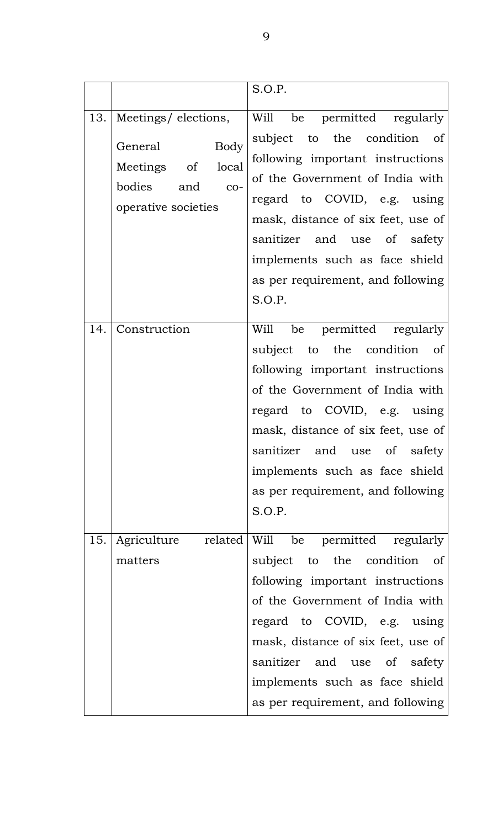|     |                                                                                                                 | S.O.P.                                                                                                                                                                                                                                                                                                                 |
|-----|-----------------------------------------------------------------------------------------------------------------|------------------------------------------------------------------------------------------------------------------------------------------------------------------------------------------------------------------------------------------------------------------------------------------------------------------------|
|     | 13.   Meetings/elections,<br>Body<br>General<br>Meetings of local<br>bodies and<br>$CO-$<br>operative societies | Will be permitted regularly<br>subject to the condition of<br>following important instructions<br>of the Government of India with<br>regard to COVID, e.g. using<br>mask, distance of six feet, use of<br>sanitizer and use of safety<br>implements such as face shield<br>as per requirement, and following<br>S.O.P. |
| 14. | Construction                                                                                                    | Will be permitted regularly<br>subject to the condition of<br>following important instructions<br>of the Government of India with<br>regard to COVID, e.g. using<br>mask, distance of six feet, use of<br>sanitizer and use of safety<br>implements such as face shield<br>as per requirement, and following<br>S.O.P. |
| 15. | Agriculture<br>matters                                                                                          | related Will be permitted regularly<br>subject to the condition of<br>following important instructions<br>of the Government of India with<br>regard to COVID, e.g. using<br>mask, distance of six feet, use of<br>sanitizer and use of safety<br>implements such as face shield<br>as per requirement, and following   |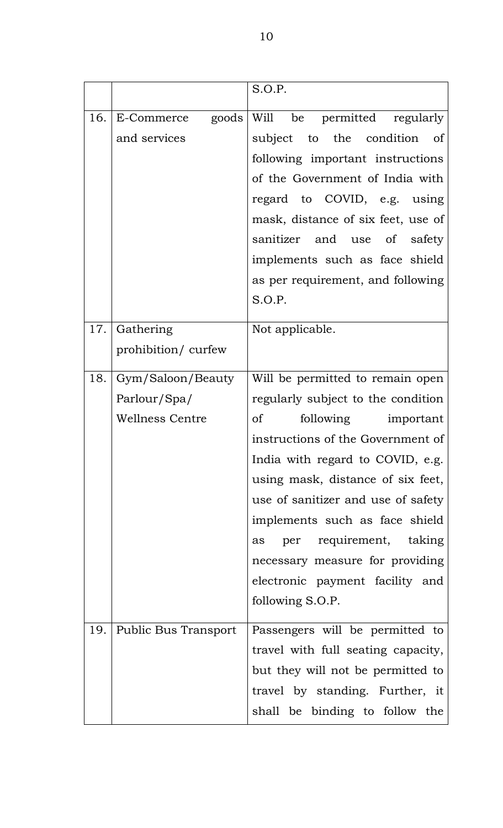|     |                        | S.O.P.                               |  |
|-----|------------------------|--------------------------------------|--|
|     |                        |                                      |  |
| 16. | E-Commerce<br>goods    | Will be permitted regularly          |  |
|     | and services           | subject to the condition of          |  |
|     |                        | following important instructions     |  |
|     |                        | of the Government of India with      |  |
|     |                        | regard to COVID, e.g. using          |  |
|     |                        | mask, distance of six feet, use of   |  |
|     |                        | sanitizer and use of safety          |  |
|     |                        | implements such as face shield       |  |
|     |                        | as per requirement, and following    |  |
|     |                        | S.O.P.                               |  |
| 17. | Gathering              | Not applicable.                      |  |
|     | prohibition/curfew     |                                      |  |
| 18. | Gym/Saloon/Beauty      | Will be permitted to remain open     |  |
|     | Parlour/Spa/           | regularly subject to the condition   |  |
|     | <b>Wellness Centre</b> | <sub>of</sub><br>following important |  |
|     |                        | instructions of the Government of    |  |
|     |                        | India with regard to COVID, e.g.     |  |
|     |                        | using mask, distance of six feet,    |  |
|     |                        | use of sanitizer and use of safety   |  |
|     |                        | implements such as face shield       |  |
|     |                        | per requirement, taking<br>as        |  |
|     |                        | necessary measure for providing      |  |
|     |                        | electronic payment facility and      |  |
|     |                        | following S.O.P.                     |  |
| 19. | Public Bus Transport   | Passengers will be permitted to      |  |
|     |                        | travel with full seating capacity,   |  |
|     |                        | but they will not be permitted to    |  |
|     |                        | travel by standing. Further, it      |  |
|     |                        | shall be binding to follow the       |  |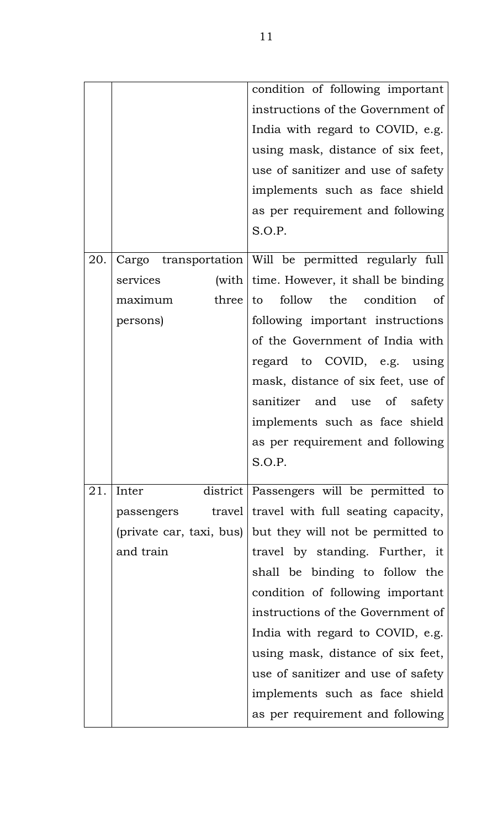|     |                          | condition of following important                      |
|-----|--------------------------|-------------------------------------------------------|
|     |                          | instructions of the Government of                     |
|     |                          | India with regard to COVID, e.g.                      |
|     |                          | using mask, distance of six feet,                     |
|     |                          | use of sanitizer and use of safety                    |
|     |                          | implements such as face shield                        |
|     |                          | as per requirement and following                      |
|     |                          | S.O.P.                                                |
| 20. |                          | Cargo transportation Will be permitted regularly full |
|     | services                 | (with $\vert$ time. However, it shall be binding      |
|     | three<br>maximum         | follow the condition of<br>to                         |
|     | persons)                 | following important instructions                      |
|     |                          | of the Government of India with                       |
|     |                          | regard to COVID, e.g. using                           |
|     |                          | mask, distance of six feet, use of                    |
|     |                          | sanitizer and use of safety                           |
|     |                          | implements such as face shield                        |
|     |                          | as per requirement and following                      |
|     |                          | S.O.P.                                                |
| 21. | Inter                    | district Passengers will be permitted to              |
|     | passengers               | travel travel with full seating capacity,             |
|     | (private car, taxi, bus) | but they will not be permitted to                     |
|     | and train                | travel by standing. Further, it                       |
|     |                          | shall be binding to follow the                        |
|     |                          | condition of following important                      |
|     |                          | instructions of the Government of                     |
|     |                          | India with regard to COVID, e.g.                      |
|     |                          | using mask, distance of six feet,                     |
|     |                          | use of sanitizer and use of safety                    |
|     |                          | implements such as face shield                        |
|     |                          | as per requirement and following                      |
|     |                          |                                                       |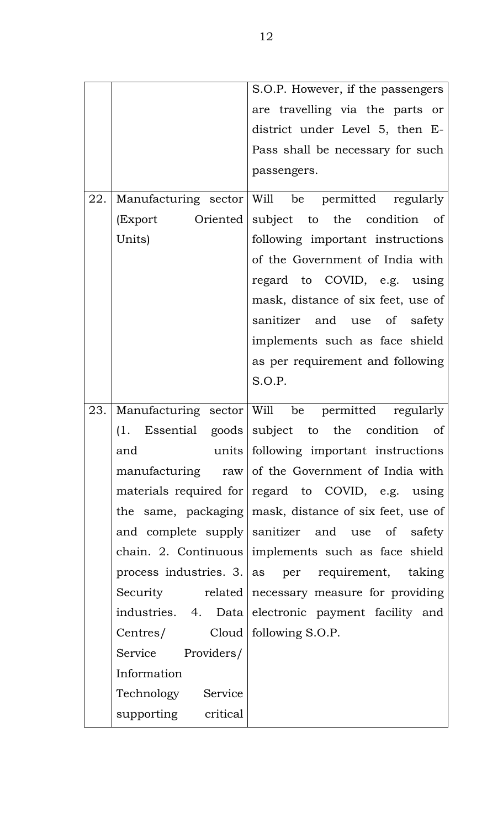|     |                    | S.O.P. However, if the passengers                                                                                                                                 |
|-----|--------------------|-------------------------------------------------------------------------------------------------------------------------------------------------------------------|
|     |                    | are travelling via the parts or                                                                                                                                   |
|     |                    | district under Level 5, then E-                                                                                                                                   |
|     |                    | Pass shall be necessary for such                                                                                                                                  |
|     |                    | passengers.                                                                                                                                                       |
|     |                    |                                                                                                                                                                   |
|     |                    | 22. Manufacturing sector Will be permitted regularly                                                                                                              |
|     |                    | (Export Oriented subject to the condition of                                                                                                                      |
|     | Units)             | following important instructions                                                                                                                                  |
|     |                    | of the Government of India with                                                                                                                                   |
|     |                    | regard to COVID, e.g. using                                                                                                                                       |
|     |                    | mask, distance of six feet, use of                                                                                                                                |
|     |                    | sanitizer and use of safety                                                                                                                                       |
|     |                    | implements such as face shield                                                                                                                                    |
|     |                    | as per requirement and following                                                                                                                                  |
|     |                    |                                                                                                                                                                   |
|     |                    |                                                                                                                                                                   |
| 23. |                    |                                                                                                                                                                   |
|     |                    | Manufacturing sector Will be permitted regularly<br>(1. Essential goods subject to the condition of                                                               |
|     | and                | units   following important instructions                                                                                                                          |
|     |                    |                                                                                                                                                                   |
|     |                    |                                                                                                                                                                   |
|     |                    | manufacturing raw of the Government of India with<br>materials required for regard to COVID, e.g. using<br>the same, packaging mask, distance of six feet, use of |
|     |                    | and complete supply sanitizer and use of safety                                                                                                                   |
|     |                    | chain. 2. Continuous implements such as face shield                                                                                                               |
|     |                    | process industries. 3. as per requirement, taking                                                                                                                 |
|     |                    | Security related   necessary measure for providing                                                                                                                |
|     |                    | industries. 4. Data electronic payment facility and                                                                                                               |
|     | Centres/           | Cloud   following S.O.P.                                                                                                                                          |
|     | Service Providers/ |                                                                                                                                                                   |
|     | Information        |                                                                                                                                                                   |
|     | Technology Service |                                                                                                                                                                   |
|     |                    | S.O.P.                                                                                                                                                            |
|     |                    |                                                                                                                                                                   |
|     |                    |                                                                                                                                                                   |
|     |                    |                                                                                                                                                                   |
|     |                    |                                                                                                                                                                   |
|     |                    |                                                                                                                                                                   |
|     |                    |                                                                                                                                                                   |
|     |                    |                                                                                                                                                                   |
|     |                    |                                                                                                                                                                   |
|     |                    |                                                                                                                                                                   |
|     |                    |                                                                                                                                                                   |
|     |                    |                                                                                                                                                                   |
|     |                    |                                                                                                                                                                   |
|     |                    |                                                                                                                                                                   |
|     |                    |                                                                                                                                                                   |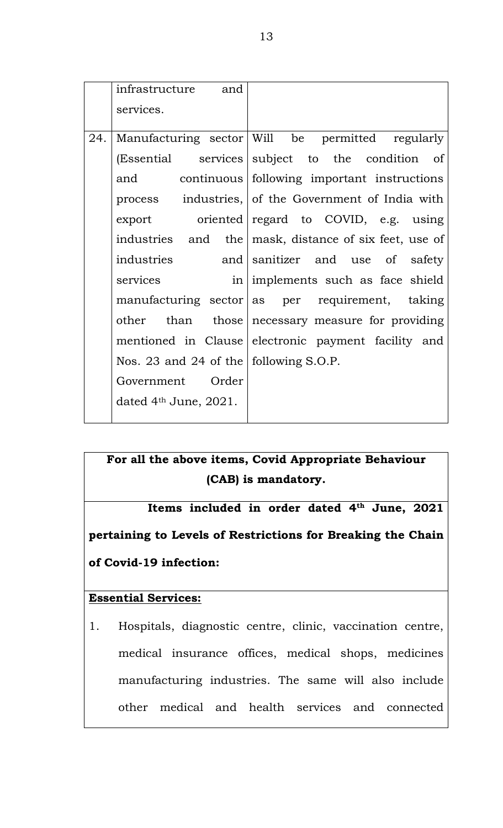|     | infrastructure and                             |                                                       |  |
|-----|------------------------------------------------|-------------------------------------------------------|--|
|     | services.                                      |                                                       |  |
|     |                                                |                                                       |  |
| 24. |                                                | Manufacturing sector Will be permitted regularly      |  |
|     |                                                | (Essential services subject to the condition of       |  |
|     |                                                | and continuous following important instructions       |  |
|     |                                                | process industries, of the Government of India with   |  |
|     |                                                | $\alpha$ export oriented regard to COVID, e.g. using  |  |
|     |                                                | industries and the mask, distance of six feet, use of |  |
|     | industries                                     | and sanitizer and use of safety                       |  |
|     | services                                       | in implements such as face shield                     |  |
|     |                                                | $m$ anufacturing sector as per requirement, taking    |  |
|     |                                                | other than those necessary measure for providing      |  |
|     |                                                | mentioned in Clause electronic payment facility and   |  |
|     | Nos. 23 and 24 of the $\vert$ following S.O.P. |                                                       |  |
|     | Government Order                               |                                                       |  |
|     | dated $4th$ June, 2021.                        |                                                       |  |
|     |                                                |                                                       |  |

# **For all the above items, Covid Appropriate Behaviour (CAB) is mandatory.**

**Items included in order dated 4th June, 2021 pertaining to Levels of Restrictions for Breaking the Chain of Covid-19 infection:**

# **Essential Services:**

1. Hospitals, diagnostic centre, clinic, vaccination centre, medical insurance offices, medical shops, medicines manufacturing industries. The same will also include other medical and health services and connected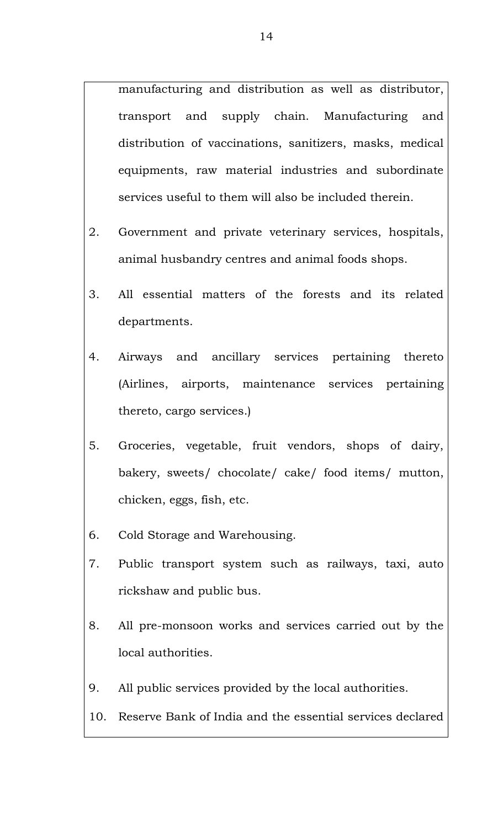manufacturing and distribution as well as distributor, transport and supply chain. Manufacturing and distribution of vaccinations, sanitizers, masks, medical equipments, raw material industries and subordinate services useful to them will also be included therein.

- 2. Government and private veterinary services, hospitals, animal husbandry centres and animal foods shops.
- 3. All essential matters of the forests and its related departments.
- 4. Airways and ancillary services pertaining thereto (Airlines, airports, maintenance services pertaining thereto, cargo services.)
- 5. Groceries, vegetable, fruit vendors, shops of dairy, bakery, sweets/ chocolate/ cake/ food items/ mutton, chicken, eggs, fish, etc.
- 6. Cold Storage and Warehousing.
- 7. Public transport system such as railways, taxi, auto rickshaw and public bus.
- 8. All pre-monsoon works and services carried out by the local authorities.
- 9. All public services provided by the local authorities.

# 10. Reserve Bank of India and the essential services declared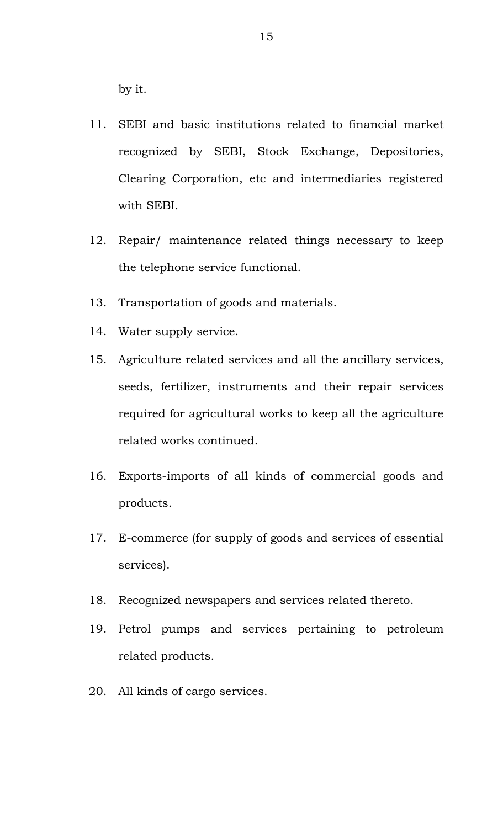by it.

- 11. SEBI and basic institutions related to financial market recognized by SEBI, Stock Exchange, Depositories, Clearing Corporation, etc and intermediaries registered with SEBI.
- 12. Repair/ maintenance related things necessary to keep the telephone service functional.
- 13. Transportation of goods and materials.
- 14. Water supply service.
- 15. Agriculture related services and all the ancillary services, seeds, fertilizer, instruments and their repair services required for agricultural works to keep all the agriculture related works continued.
- 16. Exports-imports of all kinds of commercial goods and products.
- 17. E-commerce (for supply of goods and services of essential services).
- 18. Recognized newspapers and services related thereto.
- 19. Petrol pumps and services pertaining to petroleum related products.
- 20. All kinds of cargo services.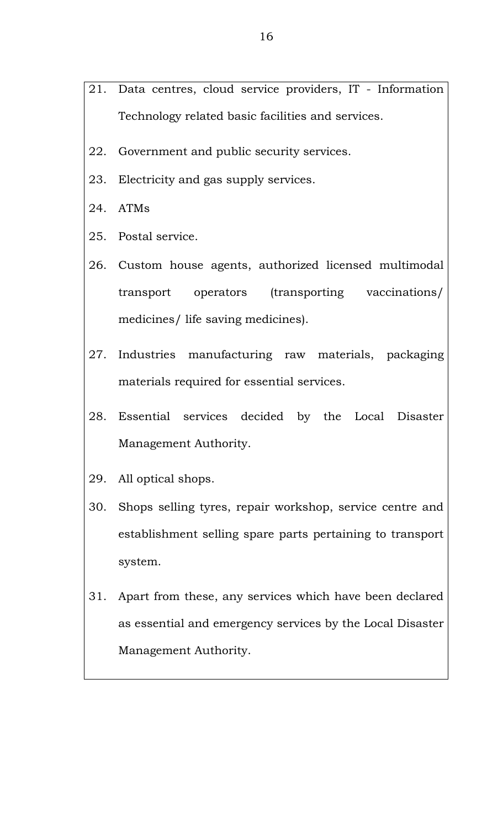- 21. Data centres, cloud service providers, IT Information Technology related basic facilities and services.
- 22. Government and public security services.
- 23. Electricity and gas supply services.
- 24. ATMs
- 25. Postal service.
- 26. Custom house agents, authorized licensed multimodal transport operators (transporting vaccinations/ medicines/ life saving medicines).
- 27. Industries manufacturing raw materials, packaging materials required for essential services.
- 28. Essential services decided by the Local Disaster Management Authority.
- 29. All optical shops.
- 30. Shops selling tyres, repair workshop, service centre and establishment selling spare parts pertaining to transport system.
- 31. Apart from these, any services which have been declared as essential and emergency services by the Local Disaster Management Authority.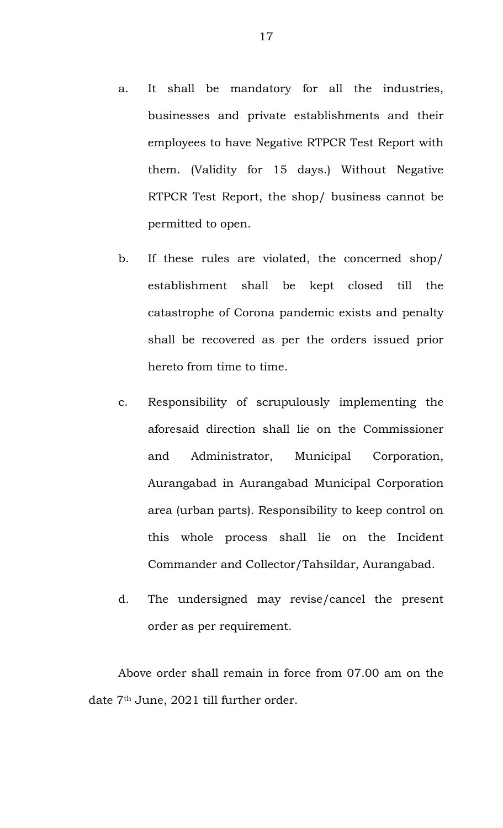- a. It shall be mandatory for all the industries, businesses and private establishments and their employees to have Negative RTPCR Test Report with them. (Validity for 15 days.) Without Negative RTPCR Test Report, the shop/ business cannot be permitted to open.
- b. If these rules are violated, the concerned shop/ establishment shall be kept closed till the catastrophe of Corona pandemic exists and penalty shall be recovered as per the orders issued prior hereto from time to time.
- c. Responsibility of scrupulously implementing the aforesaid direction shall lie on the Commissioner and Administrator, Municipal Corporation, Aurangabad in Aurangabad Municipal Corporation area (urban parts). Responsibility to keep control on this whole process shall lie on the Incident Commander and Collector/Tahsildar, Aurangabad.
- d. The undersigned may revise/cancel the present order as per requirement.

Above order shall remain in force from 07.00 am on the date 7th June, 2021 till further order.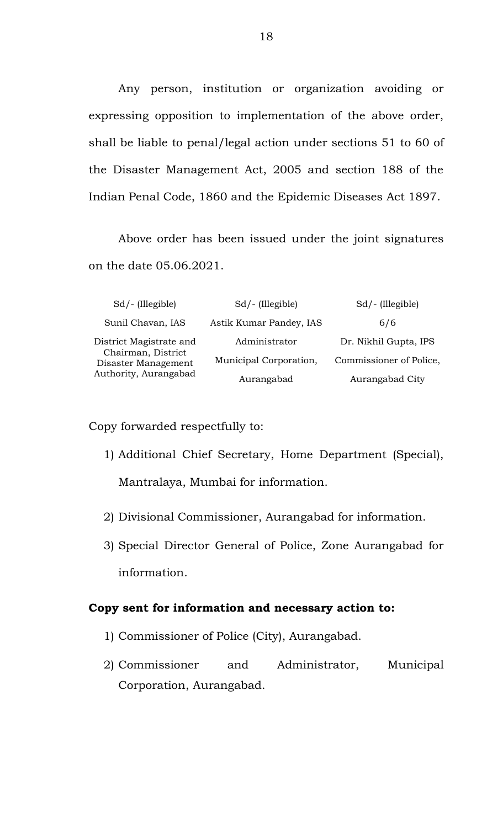Any person, institution or organization avoiding or expressing opposition to implementation of the above order, shall be liable to penal/legal action under sections 51 to 60 of the Disaster Management Act, 2005 and section 188 of the Indian Penal Code, 1860 and the Epidemic Diseases Act 1897.

Above order has been issued under the joint signatures on the date 05.06.2021.

| $Sd$ – (Illegible)                        | $Sd$ – (Illegible)      | $Sd$ – (Illegible)      |
|-------------------------------------------|-------------------------|-------------------------|
| Sunil Chavan, IAS                         | Astik Kumar Pandey, IAS | 6/6                     |
| District Magistrate and                   | Administrator           | Dr. Nikhil Gupta, IPS   |
| Chairman, District<br>Disaster Management | Municipal Corporation,  | Commissioner of Police, |
| Authority, Aurangabad                     | Aurangabad              | Aurangabad City         |

Copy forwarded respectfully to:

- 1) Additional Chief Secretary, Home Department (Special), Mantralaya, Mumbai for information.
- 2) Divisional Commissioner, Aurangabad for information.
- 3) Special Director General of Police, Zone Aurangabad for information.

#### **Copy sent for information and necessary action to:**

- 1) Commissioner of Police (City), Aurangabad.
- 2) Commissioner and Administrator, Municipal Corporation, Aurangabad.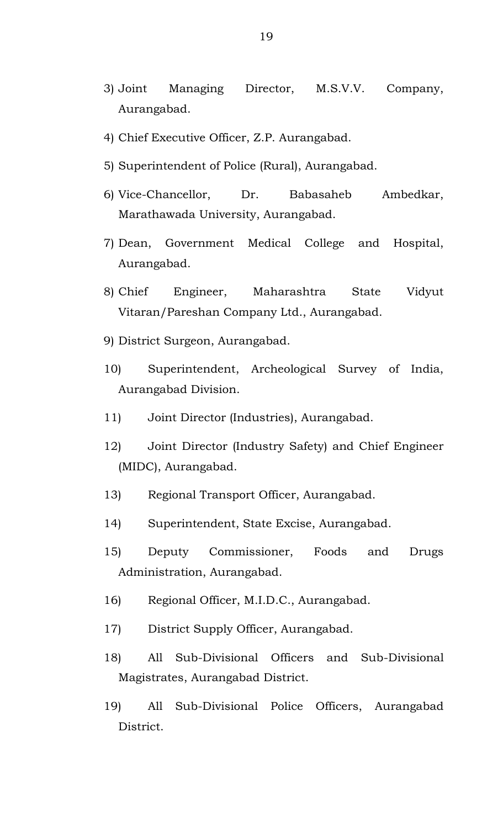- 3) Joint Managing Director, M.S.V.V. Company, Aurangabad.
- 4) Chief Executive Officer, Z.P. Aurangabad.
- 5) Superintendent of Police (Rural), Aurangabad.
- 6) Vice-Chancellor, Dr. Babasaheb Ambedkar, Marathawada University, Aurangabad.
- 7) Dean, Government Medical College and Hospital, Aurangabad.
- 8) Chief Engineer, Maharashtra State Vidyut Vitaran/Pareshan Company Ltd., Aurangabad.
- 9) District Surgeon, Aurangabad.
- 10) Superintendent, Archeological Survey of India, Aurangabad Division.
- 11) Joint Director (Industries), Aurangabad.
- 12) Joint Director (Industry Safety) and Chief Engineer (MIDC), Aurangabad.
- 13) Regional Transport Officer, Aurangabad.
- 14) Superintendent, State Excise, Aurangabad.
- 15) Deputy Commissioner, Foods and Drugs Administration, Aurangabad.
- 16) Regional Officer, M.I.D.C., Aurangabad.
- 17) District Supply Officer, Aurangabad.
- 18) All Sub-Divisional Officers and Sub-Divisional Magistrates, Aurangabad District.
- 19) All Sub-Divisional Police Officers, Aurangabad District.